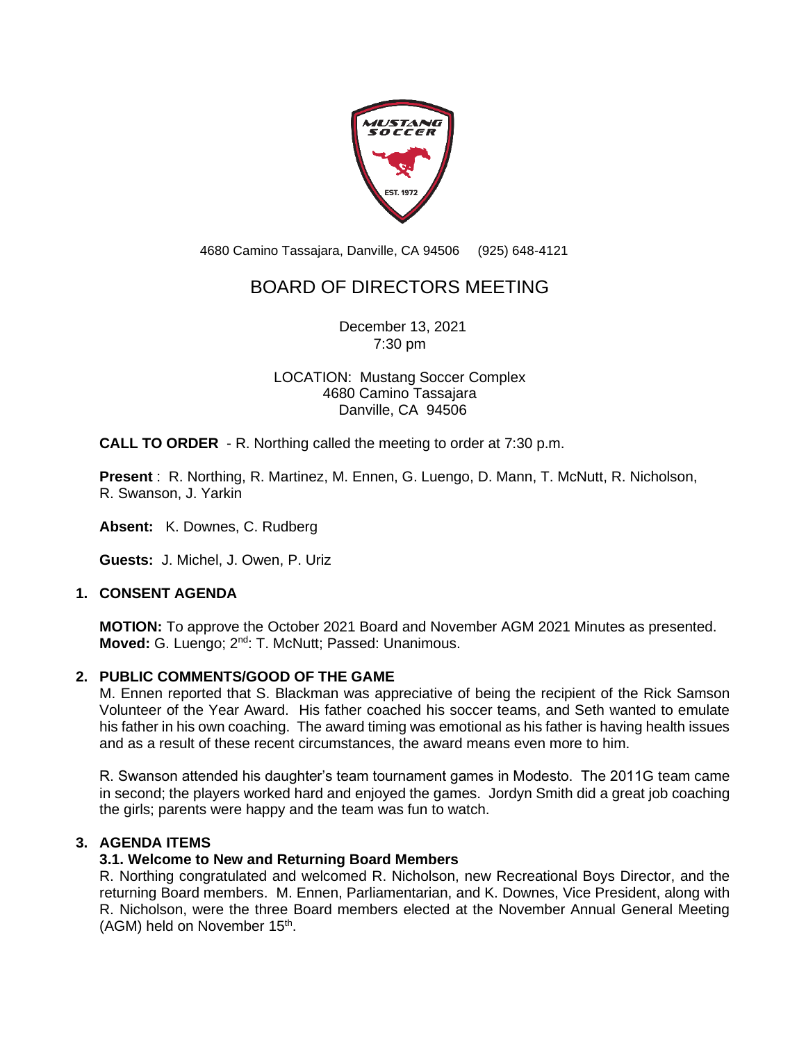

4680 Camino Tassajara, Danville, CA 94506 (925) 648-4121

# BOARD OF DIRECTORS MEETING

December 13, 2021 7:30 pm

LOCATION: Mustang Soccer Complex 4680 Camino Tassajara Danville, CA 94506

**CALL TO ORDER** - R. Northing called the meeting to order at 7:30 p.m.

**Present** : R. Northing, R. Martinez, M. Ennen, G. Luengo, D. Mann, T. McNutt, R. Nicholson, R. Swanson, J. Yarkin

**Absent:** K. Downes, C. Rudberg

**Guests:** J. Michel, J. Owen, P. Uriz

# **1. CONSENT AGENDA**

**MOTION:** To approve the October 2021 Board and November AGM 2021 Minutes as presented. Moved: G. Luengo; 2<sup>nd</sup>: T. McNutt; Passed: Unanimous.

#### **2. PUBLIC COMMENTS/GOOD OF THE GAME**

M. Ennen reported that S. Blackman was appreciative of being the recipient of the Rick Samson Volunteer of the Year Award. His father coached his soccer teams, and Seth wanted to emulate his father in his own coaching. The award timing was emotional as his father is having health issues and as a result of these recent circumstances, the award means even more to him.

R. Swanson attended his daughter's team tournament games in Modesto. The 2011G team came in second; the players worked hard and enjoyed the games. Jordyn Smith did a great job coaching the girls; parents were happy and the team was fun to watch.

# **3. AGENDA ITEMS**

# **3.1. Welcome to New and Returning Board Members**

R. Northing congratulated and welcomed R. Nicholson, new Recreational Boys Director, and the returning Board members. M. Ennen, Parliamentarian, and K. Downes, Vice President, along with R. Nicholson, were the three Board members elected at the November Annual General Meeting (AGM) held on November 15<sup>th</sup>.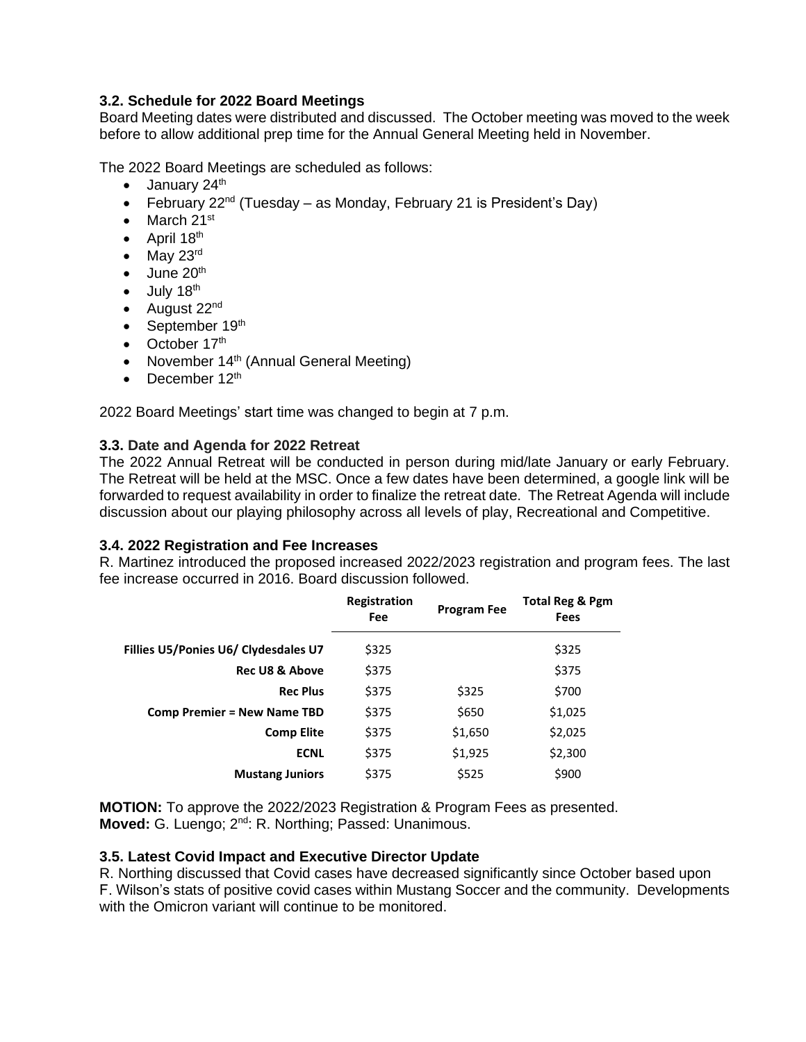# **3.2. Schedule for 2022 Board Meetings**

Board Meeting dates were distributed and discussed. The October meeting was moved to the week before to allow additional prep time for the Annual General Meeting held in November.

The 2022 Board Meetings are scheduled as follows:

- $\bullet$  January 24<sup>th</sup>
- February 22<sup>nd</sup> (Tuesday as Monday, February 21 is President's Day)
- March  $21^{st}$
- April  $18<sup>th</sup>$
- May  $23^{\text{rd}}$
- $\bullet$  June 20<sup>th</sup>
- $\bullet$  July 18<sup>th</sup>
- August  $22<sup>nd</sup>$
- September 19th
- October  $17<sup>th</sup>$
- November 14<sup>th</sup> (Annual General Meeting)
- December  $12<sup>th</sup>$

2022 Board Meetings' start time was changed to begin at 7 p.m.

# **3.3. Date and Agenda for 2022 Retreat**

The 2022 Annual Retreat will be conducted in person during mid/late January or early February. The Retreat will be held at the MSC. Once a few dates have been determined, a google link will be forwarded to request availability in order to finalize the retreat date. The Retreat Agenda will include discussion about our playing philosophy across all levels of play, Recreational and Competitive.

# **3.4. 2022 Registration and Fee Increases**

R. Martinez introduced the proposed increased 2022/2023 registration and program fees. The last fee increase occurred in 2016. Board discussion followed.

|                                      | Registration<br>Fee | <b>Program Fee</b> | Total Reg & Pgm<br>Fees |
|--------------------------------------|---------------------|--------------------|-------------------------|
| Fillies U5/Ponies U6/ Clydesdales U7 | \$325               |                    | \$325                   |
| <b>Rec U8 &amp; Above</b>            | \$375               |                    | \$375                   |
| <b>Rec Plus</b>                      | \$375               | \$325              | \$700                   |
| <b>Comp Premier = New Name TBD</b>   | \$375               | \$650              | \$1,025                 |
| <b>Comp Elite</b>                    | \$375               | \$1,650            | \$2,025                 |
| <b>ECNL</b>                          | \$375               | \$1,925            | \$2,300                 |
| <b>Mustang Juniors</b>               | \$375               | \$525              | \$900                   |
|                                      |                     |                    |                         |

**MOTION:** To approve the 2022/2023 Registration & Program Fees as presented. Moved: G. Luengo; 2<sup>nd</sup>: R. Northing; Passed: Unanimous.

# **3.5. Latest Covid Impact and Executive Director Update**

R. Northing discussed that Covid cases have decreased significantly since October based upon F. Wilson's stats of positive covid cases within Mustang Soccer and the community. Developments with the Omicron variant will continue to be monitored.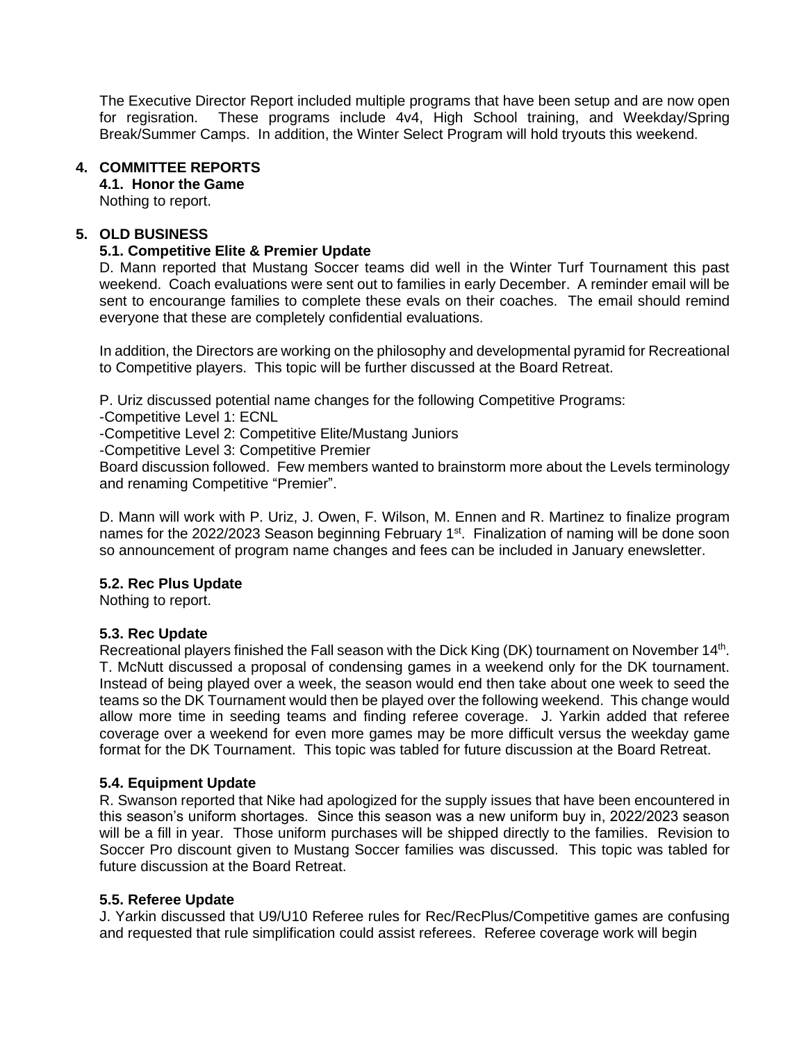The Executive Director Report included multiple programs that have been setup and are now open for regisration. These programs include 4v4, High School training, and Weekday/Spring Break/Summer Camps. In addition, the Winter Select Program will hold tryouts this weekend.

## **4. COMMITTEE REPORTS**

## **4.1. Honor the Game**

Nothing to report.

## **5. OLD BUSINESS**

## **5.1. Competitive Elite & Premier Update**

D. Mann reported that Mustang Soccer teams did well in the Winter Turf Tournament this past weekend. Coach evaluations were sent out to families in early December. A reminder email will be sent to encourange families to complete these evals on their coaches. The email should remind everyone that these are completely confidential evaluations.

In addition, the Directors are working on the philosophy and developmental pyramid for Recreational to Competitive players. This topic will be further discussed at the Board Retreat.

P. Uriz discussed potential name changes for the following Competitive Programs:

-Competitive Level 1: ECNL

-Competitive Level 2: Competitive Elite/Mustang Juniors

-Competitive Level 3: Competitive Premier

Board discussion followed. Few members wanted to brainstorm more about the Levels terminology and renaming Competitive "Premier".

D. Mann will work with P. Uriz, J. Owen, F. Wilson, M. Ennen and R. Martinez to finalize program names for the 2022/2023 Season beginning February 1<sup>st</sup>. Finalization of naming will be done soon so announcement of program name changes and fees can be included in January enewsletter.

#### **5.2. Rec Plus Update**

Nothing to report.

# **5.3. Rec Update**

Recreational players finished the Fall season with the Dick King (DK) tournament on November 14<sup>th</sup>. T. McNutt discussed a proposal of condensing games in a weekend only for the DK tournament. Instead of being played over a week, the season would end then take about one week to seed the teams so the DK Tournament would then be played over the following weekend. This change would allow more time in seeding teams and finding referee coverage. J. Yarkin added that referee coverage over a weekend for even more games may be more difficult versus the weekday game format for the DK Tournament. This topic was tabled for future discussion at the Board Retreat.

#### **5.4. Equipment Update**

R. Swanson reported that Nike had apologized for the supply issues that have been encountered in this season's uniform shortages. Since this season was a new uniform buy in, 2022/2023 season will be a fill in year. Those uniform purchases will be shipped directly to the families. Revision to Soccer Pro discount given to Mustang Soccer families was discussed. This topic was tabled for future discussion at the Board Retreat.

#### **5.5. Referee Update**

J. Yarkin discussed that U9/U10 Referee rules for Rec/RecPlus/Competitive games are confusing and requested that rule simplification could assist referees. Referee coverage work will begin